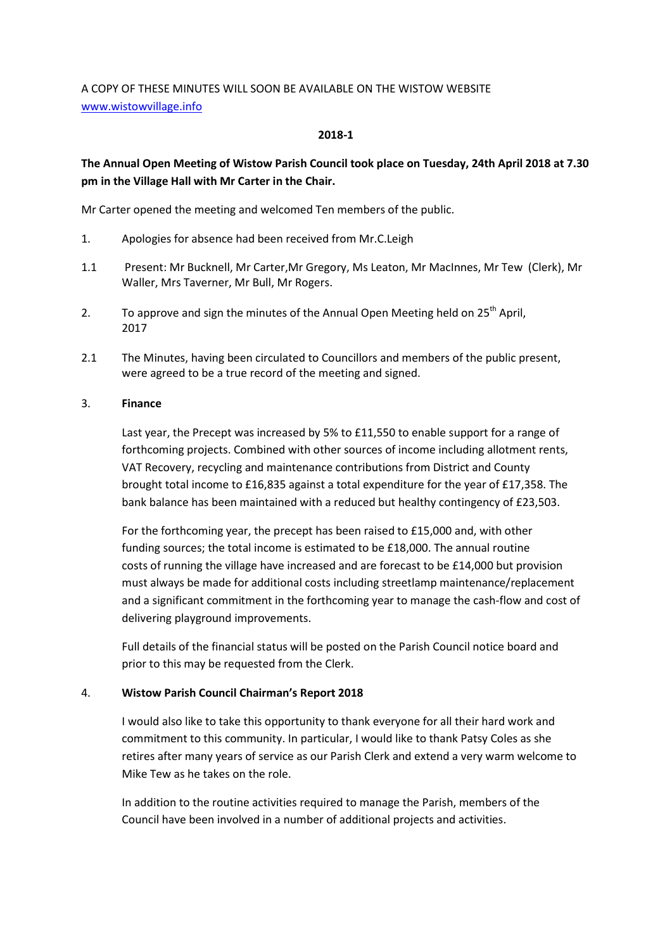# A COPY OF THESE MINUTES WILL SOON BE AVAILABLE ON THE WISTOW WEBSITE www.wistowvillage.info

## 2018-1

# The Annual Open Meeting of Wistow Parish Council took place on Tuesday, 24th April 2018 at 7.30 pm in the Village Hall with Mr Carter in the Chair.

Mr Carter opened the meeting and welcomed Ten members of the public.

- 1. Apologies for absence had been received from Mr.C.Leigh
- 1.1 Present: Mr Bucknell, Mr Carter,Mr Gregory, Ms Leaton, Mr MacInnes, Mr Tew (Clerk), Mr Waller, Mrs Taverner, Mr Bull, Mr Rogers.
- 2. To approve and sign the minutes of the Annual Open Meeting held on  $25<sup>th</sup>$  April, 2017
- 2.1 The Minutes, having been circulated to Councillors and members of the public present, were agreed to be a true record of the meeting and signed.

## 3. Finance

 Last year, the Precept was increased by 5% to £11,550 to enable support for a range of forthcoming projects. Combined with other sources of income including allotment rents, VAT Recovery, recycling and maintenance contributions from District and County brought total income to £16,835 against a total expenditure for the year of £17,358. The bank balance has been maintained with a reduced but healthy contingency of £23,503.

 For the forthcoming year, the precept has been raised to £15,000 and, with other funding sources; the total income is estimated to be £18,000. The annual routine costs of running the village have increased and are forecast to be £14,000 but provision must always be made for additional costs including streetlamp maintenance/replacement and a significant commitment in the forthcoming year to manage the cash-flow and cost of delivering playground improvements.

 Full details of the financial status will be posted on the Parish Council notice board and prior to this may be requested from the Clerk.

# 4. Wistow Parish Council Chairman's Report 2018

I would also like to take this opportunity to thank everyone for all their hard work and commitment to this community. In particular, I would like to thank Patsy Coles as she retires after many years of service as our Parish Clerk and extend a very warm welcome to Mike Tew as he takes on the role.

 In addition to the routine activities required to manage the Parish, members of the Council have been involved in a number of additional projects and activities.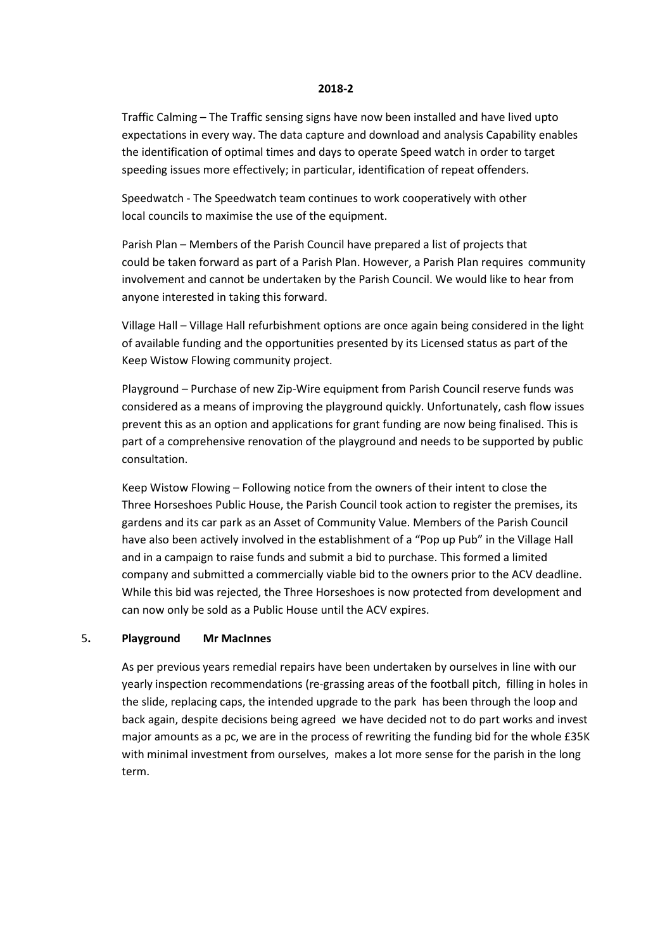#### 2018-2

Traffic Calming – The Traffic sensing signs have now been installed and have lived upto expectations in every way. The data capture and download and analysis Capability enables the identification of optimal times and days to operate Speed watch in order to target speeding issues more effectively; in particular, identification of repeat offenders.

 Speedwatch - The Speedwatch team continues to work cooperatively with other local councils to maximise the use of the equipment.

 Parish Plan – Members of the Parish Council have prepared a list of projects that could be taken forward as part of a Parish Plan. However, a Parish Plan requires community involvement and cannot be undertaken by the Parish Council. We would like to hear from anyone interested in taking this forward.

 Village Hall – Village Hall refurbishment options are once again being considered in the light of available funding and the opportunities presented by its Licensed status as part of the Keep Wistow Flowing community project.

 Playground – Purchase of new Zip-Wire equipment from Parish Council reserve funds was considered as a means of improving the playground quickly. Unfortunately, cash flow issues prevent this as an option and applications for grant funding are now being finalised. This is part of a comprehensive renovation of the playground and needs to be supported by public consultation.

 Keep Wistow Flowing – Following notice from the owners of their intent to close the Three Horseshoes Public House, the Parish Council took action to register the premises, its gardens and its car park as an Asset of Community Value. Members of the Parish Council have also been actively involved in the establishment of a "Pop up Pub" in the Village Hall and in a campaign to raise funds and submit a bid to purchase. This formed a limited company and submitted a commercially viable bid to the owners prior to the ACV deadline. While this bid was rejected, the Three Horseshoes is now protected from development and can now only be sold as a Public House until the ACV expires.

#### 5. Playground Mr MacInnes

As per previous years remedial repairs have been undertaken by ourselves in line with our yearly inspection recommendations (re-grassing areas of the football pitch, filling in holes in the slide, replacing caps, the intended upgrade to the park has been through the loop and back again, despite decisions being agreed we have decided not to do part works and invest major amounts as a pc, we are in the process of rewriting the funding bid for the whole £35K with minimal investment from ourselves, makes a lot more sense for the parish in the long term.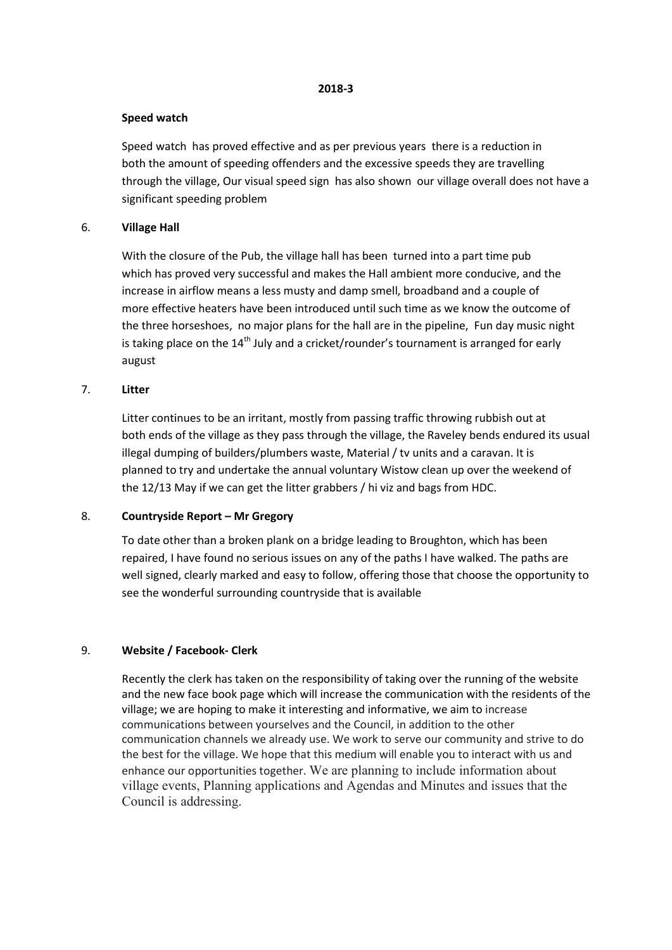#### 2018-3

## Speed watch

 Speed watch has proved effective and as per previous years there is a reduction in both the amount of speeding offenders and the excessive speeds they are travelling through the village, Our visual speed sign has also shown our village overall does not have a significant speeding problem

## 6. Village Hall

 With the closure of the Pub, the village hall has been turned into a part time pub which has proved very successful and makes the Hall ambient more conducive, and the increase in airflow means a less musty and damp smell, broadband and a couple of more effective heaters have been introduced until such time as we know the outcome of the three horseshoes, no major plans for the hall are in the pipeline, Fun day music night is taking place on the  $14<sup>th</sup>$  July and a cricket/rounder's tournament is arranged for early august

## 7. Litter

 Litter continues to be an irritant, mostly from passing traffic throwing rubbish out at both ends of the village as they pass through the village, the Raveley bends endured its usual illegal dumping of builders/plumbers waste, Material / tv units and a caravan. It is planned to try and undertake the annual voluntary Wistow clean up over the weekend of the 12/13 May if we can get the litter grabbers / hi viz and bags from HDC.

## 8. Countryside Report – Mr Gregory

 To date other than a broken plank on a bridge leading to Broughton, which has been repaired, I have found no serious issues on any of the paths I have walked. The paths are well signed, clearly marked and easy to follow, offering those that choose the opportunity to see the wonderful surrounding countryside that is available

# 9. Website / Facebook- Clerk

Recently the clerk has taken on the responsibility of taking over the running of the website and the new face book page which will increase the communication with the residents of the village; we are hoping to make it interesting and informative, we aim to increase communications between yourselves and the Council, in addition to the other communication channels we already use. We work to serve our community and strive to do the best for the village. We hope that this medium will enable you to interact with us and enhance our opportunities together. We are planning to include information about village events, Planning applications and Agendas and Minutes and issues that the Council is addressing.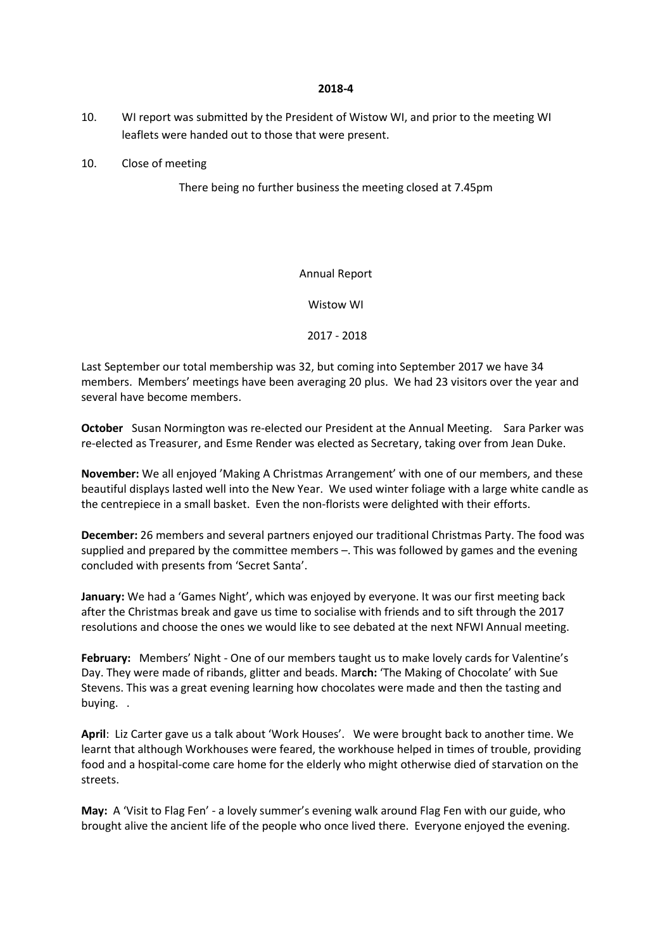#### 2018-4

- 10. WI report was submitted by the President of Wistow WI, and prior to the meeting WI leaflets were handed out to those that were present.
- 10. Close of meeting

There being no further business the meeting closed at 7.45pm

## Annual Report

Wistow WI

2017 - 2018

Last September our total membership was 32, but coming into September 2017 we have 34 members. Members' meetings have been averaging 20 plus. We had 23 visitors over the year and several have become members.

October Susan Normington was re-elected our President at the Annual Meeting. Sara Parker was re-elected as Treasurer, and Esme Render was elected as Secretary, taking over from Jean Duke.

November: We all enjoyed 'Making A Christmas Arrangement' with one of our members, and these beautiful displays lasted well into the New Year. We used winter foliage with a large white candle as the centrepiece in a small basket. Even the non-florists were delighted with their efforts.

December: 26 members and several partners enjoyed our traditional Christmas Party. The food was supplied and prepared by the committee members –. This was followed by games and the evening concluded with presents from 'Secret Santa'.

January: We had a 'Games Night', which was enjoyed by everyone. It was our first meeting back after the Christmas break and gave us time to socialise with friends and to sift through the 2017 resolutions and choose the ones we would like to see debated at the next NFWI Annual meeting.

February: Members' Night - One of our members taught us to make lovely cards for Valentine's Day. They were made of ribands, glitter and beads. March: 'The Making of Chocolate' with Sue Stevens. This was a great evening learning how chocolates were made and then the tasting and buying. .

April: Liz Carter gave us a talk about 'Work Houses'. We were brought back to another time. We learnt that although Workhouses were feared, the workhouse helped in times of trouble, providing food and a hospital-come care home for the elderly who might otherwise died of starvation on the streets.

May: A 'Visit to Flag Fen' - a lovely summer's evening walk around Flag Fen with our guide, who brought alive the ancient life of the people who once lived there. Everyone enjoyed the evening.